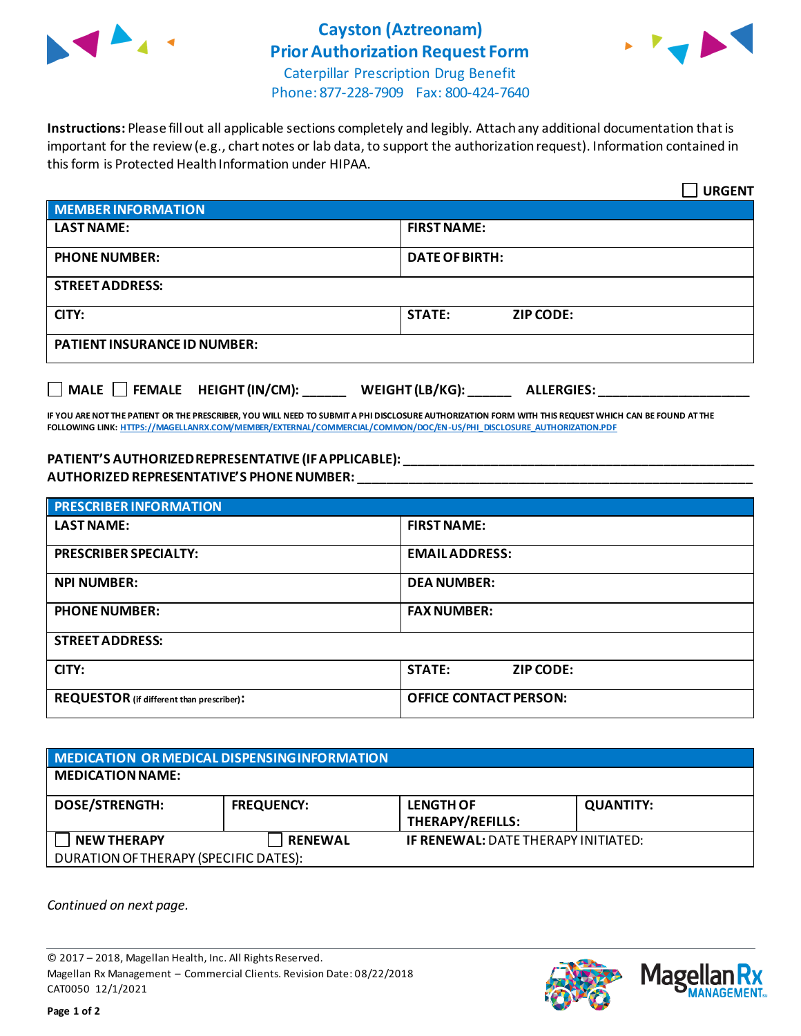

## **Cayston (Aztreonam) Prior Authorization Request Form**



Caterpillar Prescription Drug Benefit Phone: 877-228-7909 Fax: 800-424-7640

**Instructions:** Please fill out all applicable sections completely and legibly. Attach any additional documentation that is important for the review (e.g., chart notes or lab data, to support the authorization request). Information contained in this form is Protected Health Information under HIPAA.

|                                                                                   | <b>URGENT</b>                     |  |  |  |
|-----------------------------------------------------------------------------------|-----------------------------------|--|--|--|
| <b>MEMBER INFORMATION</b>                                                         |                                   |  |  |  |
| <b>LAST NAME:</b>                                                                 | <b>FIRST NAME:</b>                |  |  |  |
| <b>PHONE NUMBER:</b>                                                              | <b>DATE OF BIRTH:</b>             |  |  |  |
| <b>STREET ADDRESS:</b>                                                            |                                   |  |  |  |
| CITY:                                                                             | <b>STATE:</b><br><b>ZIP CODE:</b> |  |  |  |
| <b>PATIENT INSURANCE ID NUMBER:</b>                                               |                                   |  |  |  |
| $\Box$ MALE $\Box$ FEMALE HEIGHT (IN/CM):<br>WEIGHT (LB/KG):<br><b>ALLERGIES:</b> |                                   |  |  |  |

**IF YOU ARE NOT THE PATIENT OR THE PRESCRIBER, YOU WILL NEED TO SUBMIT A PHI DISCLOSURE AUTHORIZATION FORM WITH THIS REQUEST WHICH CAN BE FOUND AT THE FOLLOWING LINK[: HTTPS://MAGELLANRX.COM/MEMBER/EXTERNAL/COMMERCIAL/COMMON/DOC/EN-US/PHI\\_DISCLOSURE\\_AUTHORIZATION.PDF](https://magellanrx.com/member/external/commercial/common/doc/en-us/PHI_Disclosure_Authorization.pdf)**

## **PATIENT'S AUTHORIZED REPRESENTATIVE (IF APPLICABLE): \_\_\_\_\_\_\_\_\_\_\_\_\_\_\_\_\_\_\_\_\_\_\_\_\_\_\_\_\_\_\_\_\_\_\_\_\_\_\_\_\_\_\_\_\_\_\_\_\_ AUTHORIZED REPRESENTATIVE'S PHONE NUMBER: \_\_\_\_\_\_\_\_\_\_\_\_\_\_\_\_\_\_\_\_\_\_\_\_\_\_\_\_\_\_\_\_\_\_\_\_\_\_\_\_\_\_\_\_\_\_\_\_\_\_\_\_\_\_\_**

| <b>PRESCRIBER INFORMATION</b>             |                               |  |  |
|-------------------------------------------|-------------------------------|--|--|
| <b>LAST NAME:</b>                         | <b>FIRST NAME:</b>            |  |  |
| <b>PRESCRIBER SPECIALTY:</b>              | <b>EMAIL ADDRESS:</b>         |  |  |
| <b>NPI NUMBER:</b>                        | <b>DEA NUMBER:</b>            |  |  |
| <b>PHONE NUMBER:</b>                      | <b>FAX NUMBER:</b>            |  |  |
| <b>STREET ADDRESS:</b>                    |                               |  |  |
| CITY:                                     | <b>STATE:</b><br>ZIP CODE:    |  |  |
| REQUESTOR (if different than prescriber): | <b>OFFICE CONTACT PERSON:</b> |  |  |

| MEDICATION OR MEDICAL DISPENSING INFORMATION |                   |                                            |                  |  |  |
|----------------------------------------------|-------------------|--------------------------------------------|------------------|--|--|
| <b>MEDICATION NAME:</b>                      |                   |                                            |                  |  |  |
| <b>DOSE/STRENGTH:</b>                        | <b>FREQUENCY:</b> | <b>LENGTH OF</b><br>THERAPY/REFILLS:       | <b>QUANTITY:</b> |  |  |
| <b>NEW THERAPY</b>                           | <b>RENEWAL</b>    | <b>IF RENEWAL: DATE THERAPY INITIATED:</b> |                  |  |  |
| DURATION OF THERAPY (SPECIFIC DATES):        |                   |                                            |                  |  |  |

*Continued on next page.*

© 2017 – 2018, Magellan Health, Inc. All Rights Reserved. Magellan Rx Management – Commercial Clients. Revision Date: 08/22/2018 CAT0050 12/1/2021